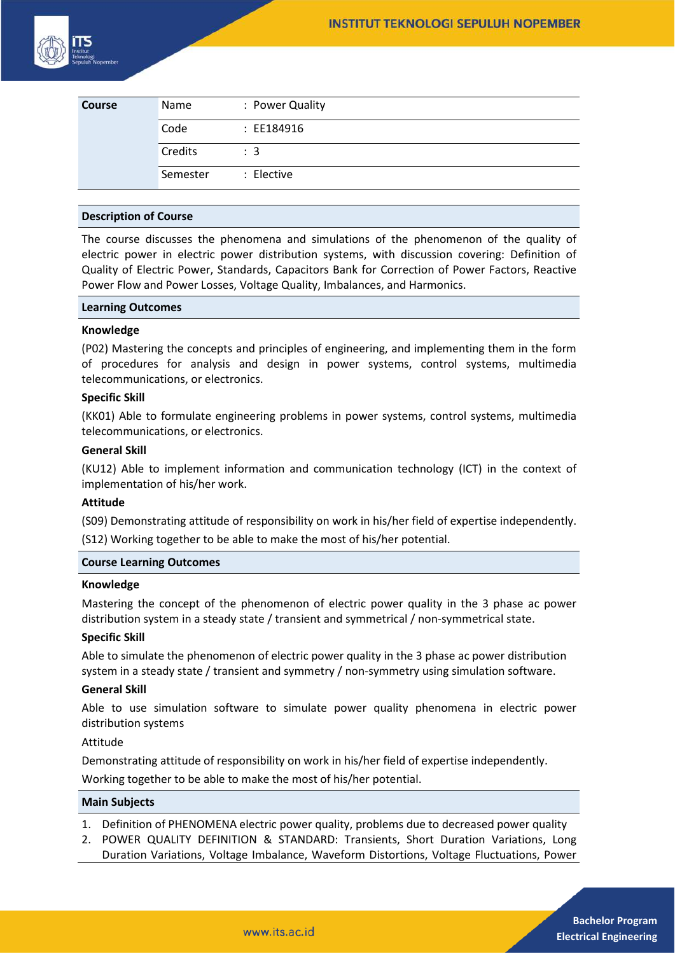

| <b>Course</b> | Name     | : Power Quality |
|---------------|----------|-----------------|
|               | Code     | : EE184916      |
|               | Credits  | $\therefore$ 3  |
|               | Semester | : Elective      |

#### **Description of Course**

The course discusses the phenomena and simulations of the phenomenon of the quality of electric power in electric power distribution systems, with discussion covering: Definition of Quality of Electric Power, Standards, Capacitors Bank for Correction of Power Factors, Reactive Power Flow and Power Losses, Voltage Quality, Imbalances, and Harmonics.

#### **Learning Outcomes**

#### **Knowledge**

(P02) Mastering the concepts and principles of engineering, and implementing them in the form of procedures for analysis and design in power systems, control systems, multimedia telecommunications, or electronics.

# **Specific Skill**

(KK01) Able to formulate engineering problems in power systems, control systems, multimedia telecommunications, or electronics.

#### **General Skill**

(KU12) Able to implement information and communication technology (ICT) in the context of implementation of his/her work.

## **Attitude**

(S09) Demonstrating attitude of responsibility on work in his/her field of expertise independently. (S12) Working together to be able to make the most of his/her potential.

## **Course Learning Outcomes**

#### **Knowledge**

Mastering the concept of the phenomenon of electric power quality in the 3 phase ac power distribution system in a steady state / transient and symmetrical / non-symmetrical state.

## **Specific Skill**

Able to simulate the phenomenon of electric power quality in the 3 phase ac power distribution system in a steady state / transient and symmetry / non-symmetry using simulation software.

## **General Skill**

Able to use simulation software to simulate power quality phenomena in electric power distribution systems

# Attitude

Demonstrating attitude of responsibility on work in his/her field of expertise independently.

Working together to be able to make the most of his/her potential.

# **Main Subjects**

- 1. Definition of PHENOMENA electric power quality, problems due to decreased power quality
- 2. POWER QUALITY DEFINITION & STANDARD: Transients, Short Duration Variations, Long Duration Variations, Voltage Imbalance, Waveform Distortions, Voltage Fluctuations, Power